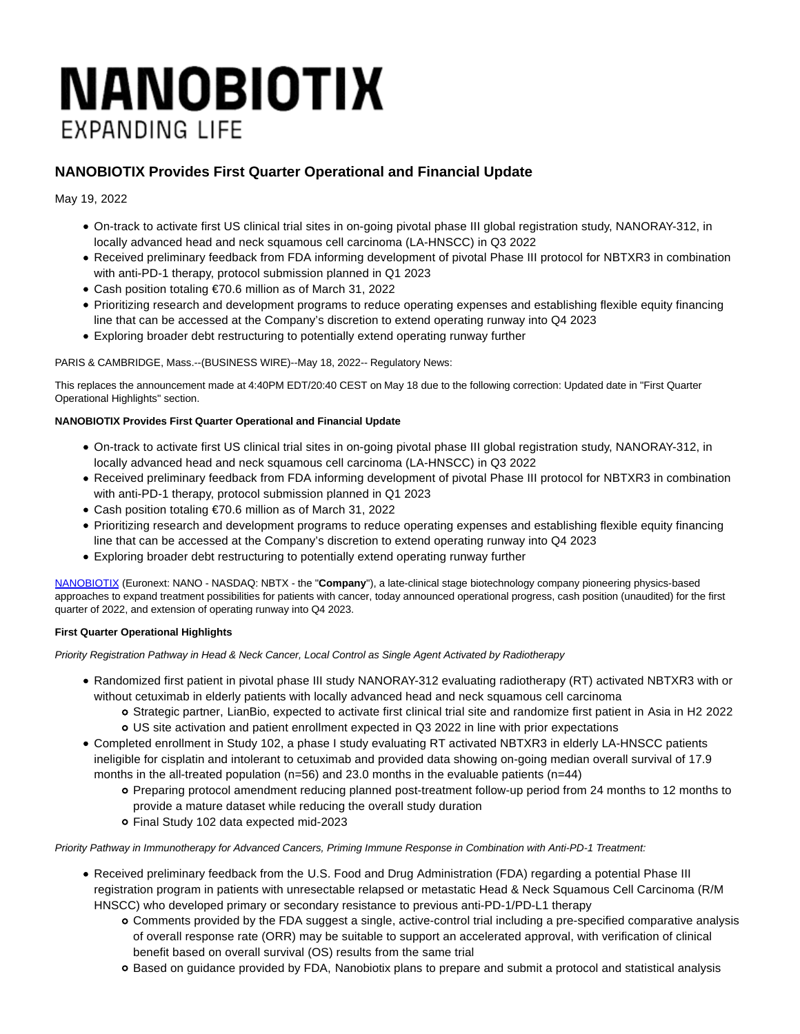# **NANOBIOTIX EXPANDING LIFE**

# **NANOBIOTIX Provides First Quarter Operational and Financial Update**

May 19, 2022

- On-track to activate first US clinical trial sites in on-going pivotal phase III global registration study, NANORAY-312, in locally advanced head and neck squamous cell carcinoma (LA-HNSCC) in Q3 2022
- Received preliminary feedback from FDA informing development of pivotal Phase III protocol for NBTXR3 in combination with anti-PD-1 therapy, protocol submission planned in Q1 2023
- Cash position totaling €70.6 million as of March 31, 2022
- Prioritizing research and development programs to reduce operating expenses and establishing flexible equity financing line that can be accessed at the Company's discretion to extend operating runway into Q4 2023
- Exploring broader debt restructuring to potentially extend operating runway further

# PARIS & CAMBRIDGE, Mass.--(BUSINESS WIRE)--May 18, 2022-- Regulatory News:

This replaces the announcement made at 4:40PM EDT/20:40 CEST on May 18 due to the following correction: Updated date in "First Quarter Operational Highlights" section.

### **NANOBIOTIX Provides First Quarter Operational and Financial Update**

- On-track to activate first US clinical trial sites in on-going pivotal phase III global registration study, NANORAY-312, in locally advanced head and neck squamous cell carcinoma (LA-HNSCC) in Q3 2022
- Received preliminary feedback from FDA informing development of pivotal Phase III protocol for NBTXR3 in combination with anti-PD-1 therapy, protocol submission planned in Q1 2023
- Cash position totaling €70.6 million as of March 31, 2022
- Prioritizing research and development programs to reduce operating expenses and establishing flexible equity financing line that can be accessed at the Company's discretion to extend operating runway into Q4 2023
- Exploring broader debt restructuring to potentially extend operating runway further

[NANOBIOTIX \(](https://cts.businesswire.com/ct/CT?id=smartlink&url=https%3A%2F%2Fwww.nanobiotix.com%2F&esheet=52724169&newsitemid=20220518006192&lan=en-US&anchor=NANOBIOTIX&index=1&md5=8db8ee9f110b9b3910aecf28b85b3791)Euronext: NANO - NASDAQ: NBTX - the "**Company**"), a late-clinical stage biotechnology company pioneering physics-based approaches to expand treatment possibilities for patients with cancer, today announced operational progress, cash position (unaudited) for the first quarter of 2022, and extension of operating runway into Q4 2023.

# **First Quarter Operational Highlights**

Priority Registration Pathway in Head & Neck Cancer, Local Control as Single Agent Activated by Radiotherapy

- Randomized first patient in pivotal phase III study NANORAY-312 evaluating radiotherapy (RT) activated NBTXR3 with or without cetuximab in elderly patients with locally advanced head and neck squamous cell carcinoma
	- Strategic partner, LianBio, expected to activate first clinical trial site and randomize first patient in Asia in H2 2022
	- US site activation and patient enrollment expected in Q3 2022 in line with prior expectations
- Completed enrollment in Study 102, a phase I study evaluating RT activated NBTXR3 in elderly LA-HNSCC patients ineligible for cisplatin and intolerant to cetuximab and provided data showing on-going median overall survival of 17.9 months in the all-treated population ( $n=56$ ) and 23.0 months in the evaluable patients ( $n=44$ )
	- Preparing protocol amendment reducing planned post-treatment follow-up period from 24 months to 12 months to provide a mature dataset while reducing the overall study duration
	- Final Study 102 data expected mid-2023

Priority Pathway in Immunotherapy for Advanced Cancers, Priming Immune Response in Combination with Anti-PD-1 Treatment:

- Received preliminary feedback from the U.S. Food and Drug Administration (FDA) regarding a potential Phase III registration program in patients with unresectable relapsed or metastatic Head & Neck Squamous Cell Carcinoma (R/M HNSCC) who developed primary or secondary resistance to previous anti-PD-1/PD-L1 therapy
	- Comments provided by the FDA suggest a single, active-control trial including a pre-specified comparative analysis of overall response rate (ORR) may be suitable to support an accelerated approval, with verification of clinical benefit based on overall survival (OS) results from the same trial
	- Based on guidance provided by FDA, Nanobiotix plans to prepare and submit a protocol and statistical analysis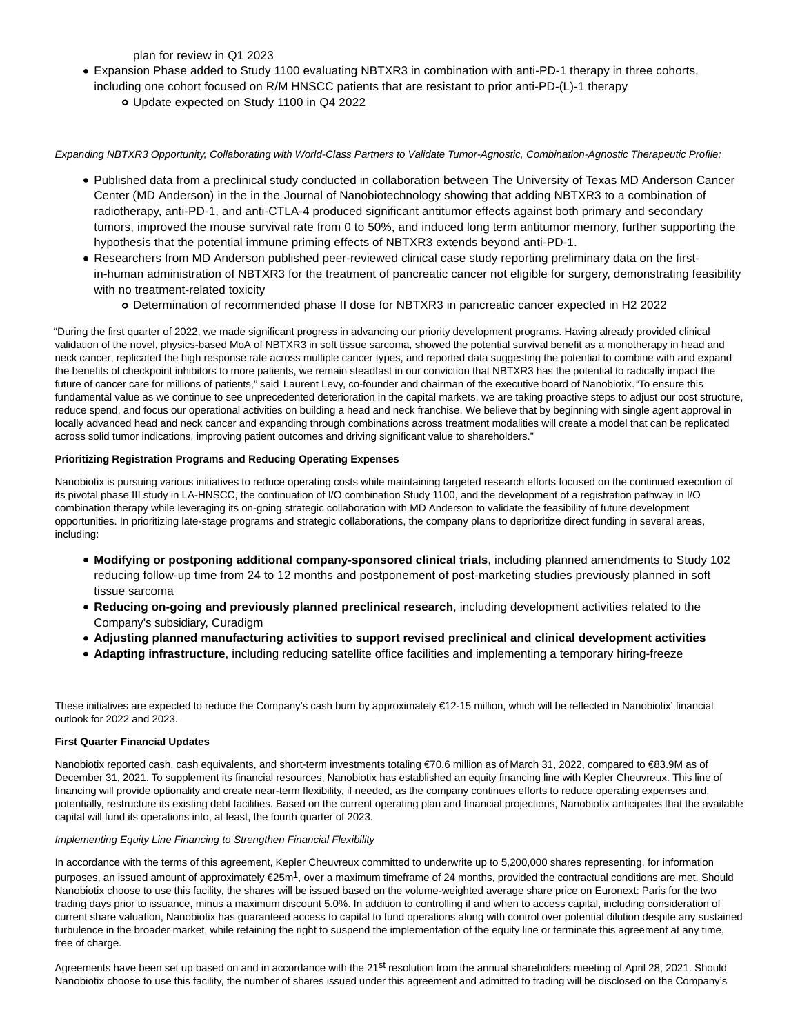plan for review in Q1 2023

- Expansion Phase added to Study 1100 evaluating NBTXR3 in combination with anti-PD-1 therapy in three cohorts, including one cohort focused on R/M HNSCC patients that are resistant to prior anti-PD-(L)-1 therapy
	- Update expected on Study 1100 in Q4 2022

Expanding NBTXR3 Opportunity, Collaborating with World-Class Partners to Validate Tumor-Agnostic, Combination-Agnostic Therapeutic Profile:

- Published data from a preclinical study conducted in collaboration between The University of Texas MD Anderson Cancer Center (MD Anderson) in the in the Journal of Nanobiotechnology showing that adding NBTXR3 to a combination of radiotherapy, anti-PD-1, and anti-CTLA-4 produced significant antitumor effects against both primary and secondary tumors, improved the mouse survival rate from 0 to 50%, and induced long term antitumor memory, further supporting the hypothesis that the potential immune priming effects of NBTXR3 extends beyond anti-PD-1.
- Researchers from MD Anderson published peer-reviewed clinical case study reporting preliminary data on the firstin-human administration of NBTXR3 for the treatment of pancreatic cancer not eligible for surgery, demonstrating feasibility with no treatment-related toxicity
	- Determination of recommended phase II dose for NBTXR3 in pancreatic cancer expected in H2 2022

"During the first quarter of 2022, we made significant progress in advancing our priority development programs. Having already provided clinical validation of the novel, physics-based MoA of NBTXR3 in soft tissue sarcoma, showed the potential survival benefit as a monotherapy in head and neck cancer, replicated the high response rate across multiple cancer types, and reported data suggesting the potential to combine with and expand the benefits of checkpoint inhibitors to more patients, we remain steadfast in our conviction that NBTXR3 has the potential to radically impact the future of cancer care for millions of patients," said Laurent Levy, co-founder and chairman of the executive board of Nanobiotix. "To ensure this fundamental value as we continue to see unprecedented deterioration in the capital markets, we are taking proactive steps to adjust our cost structure, reduce spend, and focus our operational activities on building a head and neck franchise. We believe that by beginning with single agent approval in locally advanced head and neck cancer and expanding through combinations across treatment modalities will create a model that can be replicated across solid tumor indications, improving patient outcomes and driving significant value to shareholders."

#### **Prioritizing Registration Programs and Reducing Operating Expenses**

Nanobiotix is pursuing various initiatives to reduce operating costs while maintaining targeted research efforts focused on the continued execution of its pivotal phase III study in LA-HNSCC, the continuation of I/O combination Study 1100, and the development of a registration pathway in I/O combination therapy while leveraging its on-going strategic collaboration with MD Anderson to validate the feasibility of future development opportunities. In prioritizing late-stage programs and strategic collaborations, the company plans to deprioritize direct funding in several areas, including:

- **Modifying or postponing additional company-sponsored clinical trials**, including planned amendments to Study 102 reducing follow-up time from 24 to 12 months and postponement of post-marketing studies previously planned in soft tissue sarcoma
- **Reducing on-going and previously planned preclinical research**, including development activities related to the Company's subsidiary, Curadigm
- **Adjusting planned manufacturing activities to support revised preclinical and clinical development activities**
- **Adapting infrastructure**, including reducing satellite office facilities and implementing a temporary hiring-freeze

These initiatives are expected to reduce the Company's cash burn by approximately €12-15 million, which will be reflected in Nanobiotix' financial outlook for 2022 and 2023.

#### **First Quarter Financial Updates**

Nanobiotix reported cash, cash equivalents, and short-term investments totaling €70.6 million as of March 31, 2022, compared to €83.9M as of December 31, 2021. To supplement its financial resources, Nanobiotix has established an equity financing line with Kepler Cheuvreux. This line of financing will provide optionality and create near-term flexibility, if needed, as the company continues efforts to reduce operating expenses and, potentially, restructure its existing debt facilities. Based on the current operating plan and financial projections, Nanobiotix anticipates that the available capital will fund its operations into, at least, the fourth quarter of 2023.

#### Implementing Equity Line Financing to Strengthen Financial Flexibility

In accordance with the terms of this agreement, Kepler Cheuvreux committed to underwrite up to 5,200,000 shares representing, for information purposes, an issued amount of approximately €25m<sup>1</sup>, over a maximum timeframe of 24 months, provided the contractual conditions are met. Should Nanobiotix choose to use this facility, the shares will be issued based on the volume-weighted average share price on Euronext: Paris for the two trading days prior to issuance, minus a maximum discount 5.0%. In addition to controlling if and when to access capital, including consideration of current share valuation, Nanobiotix has guaranteed access to capital to fund operations along with control over potential dilution despite any sustained turbulence in the broader market, while retaining the right to suspend the implementation of the equity line or terminate this agreement at any time, free of charge.

Agreements have been set up based on and in accordance with the 21<sup>st</sup> resolution from the annual shareholders meeting of April 28, 2021. Should Nanobiotix choose to use this facility, the number of shares issued under this agreement and admitted to trading will be disclosed on the Company's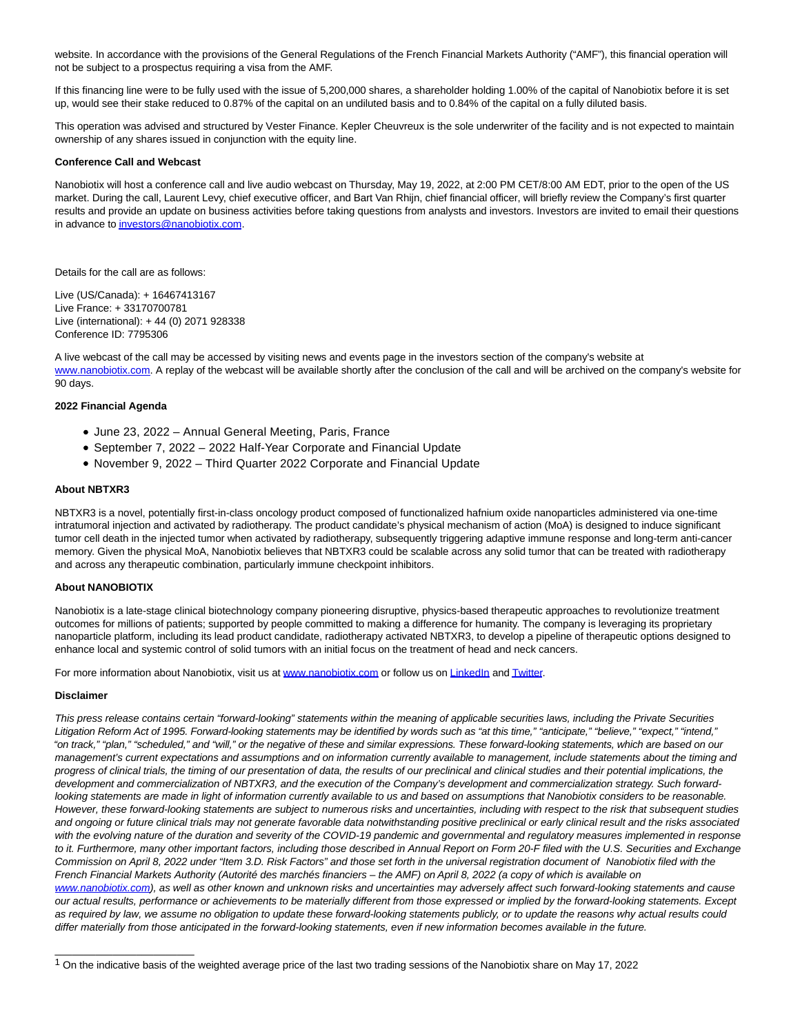website. In accordance with the provisions of the General Regulations of the French Financial Markets Authority ("AMF"), this financial operation will not be subject to a prospectus requiring a visa from the AMF.

If this financing line were to be fully used with the issue of 5,200,000 shares, a shareholder holding 1.00% of the capital of Nanobiotix before it is set up, would see their stake reduced to 0.87% of the capital on an undiluted basis and to 0.84% of the capital on a fully diluted basis.

This operation was advised and structured by Vester Finance. Kepler Cheuvreux is the sole underwriter of the facility and is not expected to maintain ownership of any shares issued in conjunction with the equity line.

#### **Conference Call and Webcast**

Nanobiotix will host a conference call and live audio webcast on Thursday, May 19, 2022, at 2:00 PM CET/8:00 AM EDT, prior to the open of the US market. During the call, Laurent Levy, chief executive officer, and Bart Van Rhijn, chief financial officer, will briefly review the Company's first quarter results and provide an update on business activities before taking questions from analysts and investors. Investors are invited to email their questions in advance t[o investors@nanobiotix.com.](mailto:investors@nanobiotix.com)

Details for the call are as follows:

Live (US/Canada): + 16467413167 Live France: + 33170700781 Live (international): + 44 (0) 2071 928338 Conference ID: 7795306

A live webcast of the call may be accessed by visiting news and events page in the investors section of the company's website at [www.nanobiotix.com.](https://cts.businesswire.com/ct/CT?id=smartlink&url=http%3A%2F%2Fwww.nanobiotix.com&esheet=52724169&newsitemid=20220518006192&lan=en-US&anchor=www.nanobiotix.com&index=2&md5=4e2207fb53ee4bd52d5471f2e959cbf5) A replay of the webcast will be available shortly after the conclusion of the call and will be archived on the company's website for 90 days.

#### **2022 Financial Agenda**

- June 23, 2022 Annual General Meeting, Paris, France
- September 7, 2022 2022 Half-Year Corporate and Financial Update
- November 9, 2022 Third Quarter 2022 Corporate and Financial Update

#### **About NBTXR3**

NBTXR3 is a novel, potentially first-in-class oncology product composed of functionalized hafnium oxide nanoparticles administered via one-time intratumoral injection and activated by radiotherapy. The product candidate's physical mechanism of action (MoA) is designed to induce significant tumor cell death in the injected tumor when activated by radiotherapy, subsequently triggering adaptive immune response and long-term anti-cancer memory. Given the physical MoA, Nanobiotix believes that NBTXR3 could be scalable across any solid tumor that can be treated with radiotherapy and across any therapeutic combination, particularly immune checkpoint inhibitors.

#### **About NANOBIOTIX**

 $\overline{\phantom{a}}$  , where  $\overline{\phantom{a}}$  , where  $\overline{\phantom{a}}$  ,  $\overline{\phantom{a}}$  ,  $\overline{\phantom{a}}$  ,  $\overline{\phantom{a}}$  ,  $\overline{\phantom{a}}$  ,  $\overline{\phantom{a}}$  ,  $\overline{\phantom{a}}$  ,  $\overline{\phantom{a}}$  ,  $\overline{\phantom{a}}$  ,  $\overline{\phantom{a}}$  ,  $\overline{\phantom{a}}$  ,  $\overline{\phantom{a}}$  ,  $\overline{\phantom{a}}$  ,

Nanobiotix is a late-stage clinical biotechnology company pioneering disruptive, physics-based therapeutic approaches to revolutionize treatment outcomes for millions of patients; supported by people committed to making a difference for humanity. The company is leveraging its proprietary nanoparticle platform, including its lead product candidate, radiotherapy activated NBTXR3, to develop a pipeline of therapeutic options designed to enhance local and systemic control of solid tumors with an initial focus on the treatment of head and neck cancers.

For more information about Nanobiotix, visit us at [www.nanobiotix.com o](https://cts.businesswire.com/ct/CT?id=smartlink&url=http%3A%2F%2Fwww.nanobiotix.com&esheet=52724169&newsitemid=20220518006192&lan=en-US&anchor=www.nanobiotix.com&index=3&md5=7a7a67b16f73708aa18820777ddd2c65)r follow us on [LinkedIn a](https://cts.businesswire.com/ct/CT?id=smartlink&url=http%3A%2F%2Fwww.linkedin.com%2Fcompany%2Fnanobiotix&esheet=52724169&newsitemid=20220518006192&lan=en-US&anchor=LinkedIn&index=4&md5=d20856fbc82fd5c70399817740bafc5f)n[d Twitter.](https://cts.businesswire.com/ct/CT?id=smartlink&url=http%3A%2F%2Fwww.twitter.com%2Fnanobiotix&esheet=52724169&newsitemid=20220518006192&lan=en-US&anchor=Twitter&index=5&md5=03fbeda8c7b5c8d764d664d3b308347f)

#### **Disclaimer**

This press release contains certain "forward-looking" statements within the meaning of applicable securities laws, including the Private Securities Litigation Reform Act of 1995. Forward-looking statements may be identified by words such as "at this time," "anticipate," "believe," "expect," "intend," "on track," "plan," "scheduled," and "will," or the negative of these and similar expressions. These forward-looking statements, which are based on our management's current expectations and assumptions and on information currently available to management, include statements about the timing and progress of clinical trials, the timing of our presentation of data, the results of our preclinical and clinical studies and their potential implications, the development and commercialization of NBTXR3, and the execution of the Company's development and commercialization strategy. Such forwardlooking statements are made in light of information currently available to us and based on assumptions that Nanobiotix considers to be reasonable. However, these forward-looking statements are subject to numerous risks and uncertainties, including with respect to the risk that subsequent studies and ongoing or future clinical trials may not generate favorable data notwithstanding positive preclinical or early clinical result and the risks associated with the evolving nature of the duration and severity of the COVID-19 pandemic and governmental and regulatory measures implemented in response to it. Furthermore, many other important factors, including those described in Annual Report on Form 20-F filed with the U.S. Securities and Exchange Commission on April 8, 2022 under "Item 3.D. Risk Factors" and those set forth in the universal registration document of Nanobiotix filed with the French Financial Markets Authority (Autorité des marchés financiers – the AMF) on April 8, 2022 (a copy of which is available on [www.nanobiotix.com\),](https://cts.businesswire.com/ct/CT?id=smartlink&url=http%3A%2F%2Fwww.nanobiotix.com&esheet=52724169&newsitemid=20220518006192&lan=en-US&anchor=www.nanobiotix.com&index=6&md5=dd5399e92a3c824fbd48317790b587e8) as well as other known and unknown risks and uncertainties may adversely affect such forward-looking statements and cause our actual results, performance or achievements to be materially different from those expressed or implied by the forward-looking statements. Except as required by law, we assume no obligation to update these forward-looking statements publicly, or to update the reasons why actual results could differ materially from those anticipated in the forward-looking statements, even if new information becomes available in the future.

 $1$  On the indicative basis of the weighted average price of the last two trading sessions of the Nanobiotix share on May 17, 2022